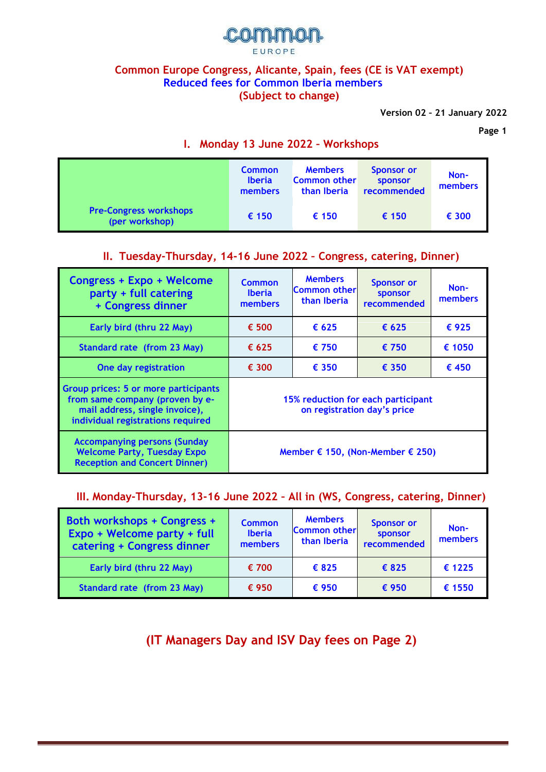

#### **Common Europe Congress, Alicante, Spain, fees (CE is VAT exempt) Reduced fees for Common Iberia members (Subject to change)**

**Version 02 – 21 January 2022**

**Page 1**

|                                                 | <b>Common</b><br><b>Iberia</b><br>members | <b>Members</b><br><b>Common other</b><br>than Iberia | <b>Sponsor or</b><br><b>sponsor</b><br>recommended | Non-<br>members |
|-------------------------------------------------|-------------------------------------------|------------------------------------------------------|----------------------------------------------------|-----------------|
| <b>Pre-Congress workshops</b><br>(per workshop) | $\epsilon$ 150                            | € 150                                                | € 150                                              | € 300           |

### **I. Monday 13 June 2022 – Workshops**

## **II. Tuesday-Thursday, 14-16 June 2022 – Congress, catering, Dinner)**

| Congress + Expo + Welcome<br>party + full catering<br>+ Congress dinner                                                                        | <b>Common</b><br><b>Iberia</b><br>members                         | <b>Members</b><br><b>Common other</b><br>than Iberia | <b>Sponsor or</b><br><b>sponsor</b><br>recommended | Non-<br>members |
|------------------------------------------------------------------------------------------------------------------------------------------------|-------------------------------------------------------------------|------------------------------------------------------|----------------------------------------------------|-----------------|
| Early bird (thru 22 May)                                                                                                                       | € 500                                                             | $\epsilon$ 625                                       | $\epsilon$ 625                                     | €925            |
| Standard rate (from 23 May)                                                                                                                    | $\epsilon$ 625                                                    | € 750                                                | $\epsilon$ 750                                     | € 1050          |
| One day registration                                                                                                                           | € 300                                                             | € 350                                                | $\epsilon$ 350                                     | $\epsilon$ 450  |
| Group prices: 5 or more participants<br>from same company (proven by e-<br>mail address, single invoice),<br>individual registrations required | 15% reduction for each participant<br>on registration day's price |                                                      |                                                    |                 |
| <b>Accompanying persons (Sunday</b><br><b>Welcome Party, Tuesday Expo</b><br><b>Reception and Concert Dinner)</b>                              | Member € 150, (Non-Member $€$ 250)                                |                                                      |                                                    |                 |

#### **III. Monday-Thursday, 13-16 June 2022 – All in (WS, Congress, catering, Dinner)**

| Both workshops + Congress +<br>Expo + Welcome party + full<br>catering + Congress dinner | <b>Common</b><br><b>Iberia</b><br>members | <b>Members</b><br><b>Common other</b><br>than Iberia | <b>Sponsor or</b><br>sponsor<br>recommended | Non-<br>members |
|------------------------------------------------------------------------------------------|-------------------------------------------|------------------------------------------------------|---------------------------------------------|-----------------|
| Early bird (thru 22 May)                                                                 | € 700                                     | €825                                                 | €825                                        | € 1225          |
| Standard rate (from 23 May)                                                              | € 950                                     | € 950                                                | € 950                                       | € 1550          |

**(IT Managers Day and ISV Day fees on Page 2)**